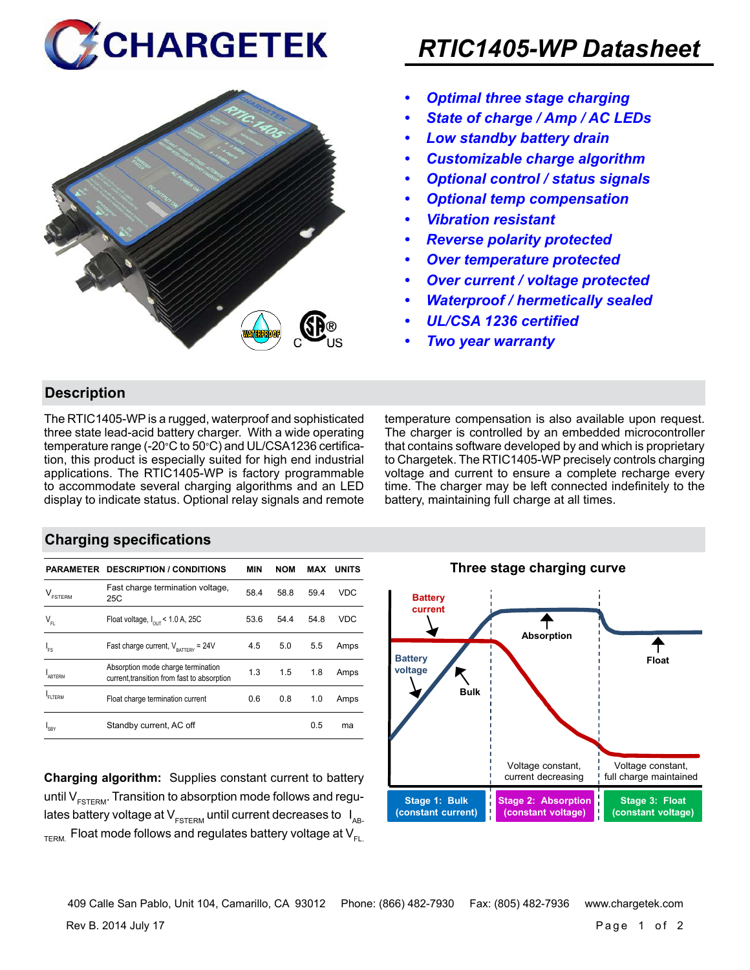



## *RTIC1405-WP Datasheet*

- *• Optimal three stage charging*
- *• State of charge / Amp / AC LEDs*
- *• Low standby battery drain*
- *• Customizable charge algorithm*
- *• Optional control / status signals*
- *• Optional temp compensation*
- *• Vibration resistant*
- *• Reverse polarity protected*
- *• Over temperature protected*
- *• Over current / voltage protected*
- *• Waterproof / hermetically sealed*
- *• UL/CSA 1236 certified*
- *• Two year warranty*

### **Description**

The RTIC1405-WP is a rugged, waterproof and sophisticated three state lead-acid battery charger. With a wide operating temperature range (-20°C to 50°C) and UL/CSA1236 certification, this product is especially suited for high end industrial applications. The RTIC1405-WP is factory programmable to accommodate several charging algorithms and an LED display to indicate status. Optional relay signals and remote temperature compensation is also available upon request. The charger is controlled by an embedded microcontroller that contains software developed by and which is proprietary to Chargetek. The RTIC1405-WP precisely controls charging voltage and current to ensure a complete recharge every time. The charger may be left connected indefinitely to the battery, maintaining full charge at all times.

#### **Charging specifications**

|                                      | <b>PARAMETER DESCRIPTION / CONDITIONS</b>                                         | <b>MIN</b> | <b>NOM</b> | MAX  | <b>UNITS</b> |
|--------------------------------------|-----------------------------------------------------------------------------------|------------|------------|------|--------------|
| $\mathsf{V}_{\texttt{\tiny FSTERN}}$ | Fast charge termination voltage,<br>25C                                           | 58.4       | 58.8       | 59.4 | VDC          |
| $V_{FL}$                             | Float voltage, $I_{\text{out}}$ < 1.0 A, 25C                                      | 53.6       | 54.4       | 54.8 | <b>VDC</b>   |
| $I_{FS}$                             | Fast charge current, $V_{\text{partrev}} = 24V$                                   | 4.5        | 5.0        | 5.5  | Amps         |
| <b>ARTERM</b>                        | Absorption mode charge termination<br>current, transition from fast to absorption | 1.3        | 1.5        | 1.8  | Amps         |
| <b>FITERM</b>                        | Float charge termination current                                                  | 0.6        | 0.8        | 1.0  | Amps         |
| <b>SRY</b>                           | Standby current, AC off                                                           |            |            | 0.5  | ma           |

**Charging algorithm:** Supplies constant current to battery until  $V_{ESTFRM}$ . Transition to absorption mode follows and regulates battery voltage at  $V_{ESTERM}$  until current decreases to  $I_{AR}$  $T_{\text{ERM}}$  Float mode follows and regulates battery voltage at  $V_{\text{F1}}$ 



Rev B. 2014 July 17 Page 1 of 2 409 Calle San Pablo, Unit 104, Camarillo, CA 93012 Phone: (866) 482-7930 Fax: (805) 482-7936 www.chargetek.com